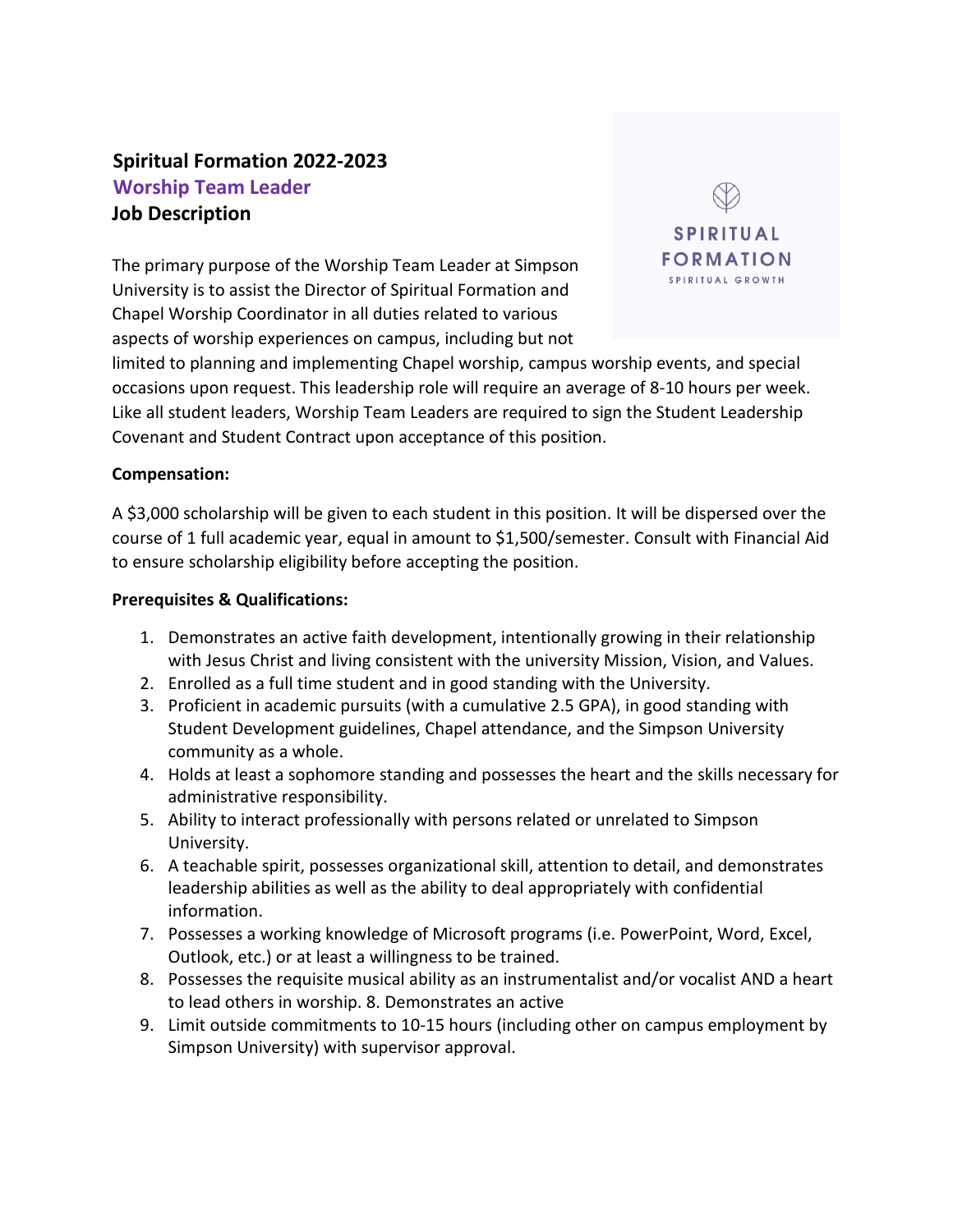# **Spiritual Formation 2022-2023 Worship Team Leader Job Description**

The primary purpose of the Worship Team Leader at Simpson University is to assist the Director of Spiritual Formation and Chapel Worship Coordinator in all duties related to various aspects of worship experiences on campus, including but not



limited to planning and implementing Chapel worship, campus worship events, and special occasions upon request. This leadership role will require an average of 8-10 hours per week. Like all student leaders, Worship Team Leaders are required to sign the Student Leadership Covenant and Student Contract upon acceptance of this position.

#### **Compensation:**

A \$3,000 scholarship will be given to each student in this position. It will be dispersed over the course of 1 full academic year, equal in amount to \$1,500/semester. Consult with Financial Aid to ensure scholarship eligibility before accepting the position.

#### **Prerequisites & Qualifications:**

- 1. Demonstrates an active faith development, intentionally growing in their relationship with Jesus Christ and living consistent with the university Mission, Vision, and Values.
- 2. Enrolled as a full time student and in good standing with the University.
- 3. Proficient in academic pursuits (with a cumulative 2.5 GPA), in good standing with Student Development guidelines, Chapel attendance, and the Simpson University community as a whole.
- 4. Holds at least a sophomore standing and possesses the heart and the skills necessary for administrative responsibility.
- 5. Ability to interact professionally with persons related or unrelated to Simpson University.
- 6. A teachable spirit, possesses organizational skill, attention to detail, and demonstrates leadership abilities as well as the ability to deal appropriately with confidential information.
- 7. Possesses a working knowledge of Microsoft programs (i.e. PowerPoint, Word, Excel, Outlook, etc.) or at least a willingness to be trained.
- 8. Possesses the requisite musical ability as an instrumentalist and/or vocalist AND a heart to lead others in worship. 8. Demonstrates an active
- 9. Limit outside commitments to 10-15 hours (including other on campus employment by Simpson University) with supervisor approval.